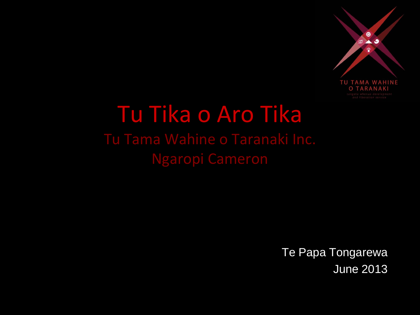

#### Tu Tika o Aro Tika Tu Tama Wahine o Taranaki Inc. Ngaropi Cameron

Te Papa Tongarewa June 2013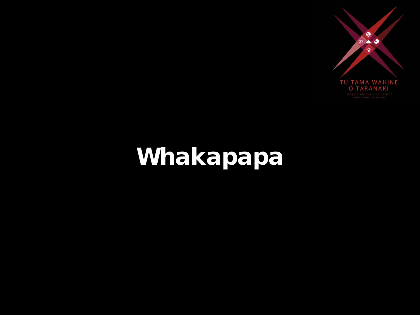

### Whakapapa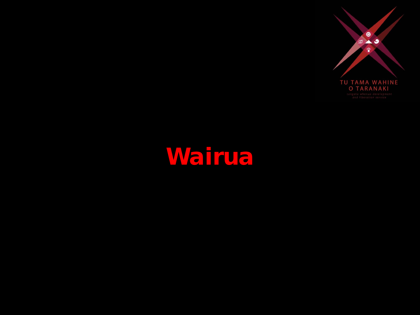

#### Wairua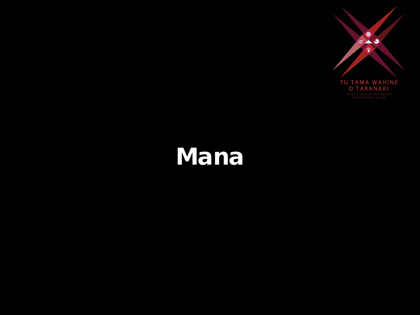

#### Mana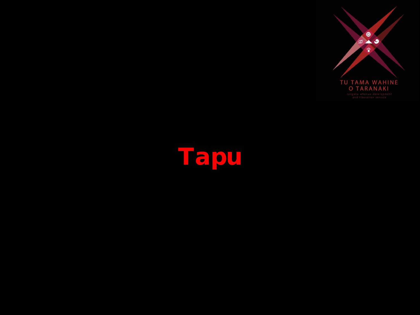

## Tapu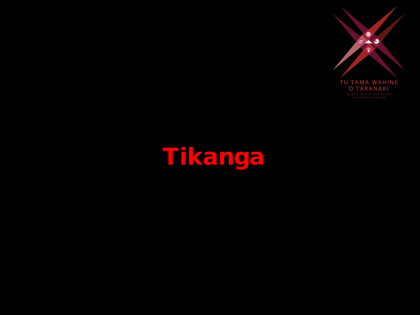

# Tikanga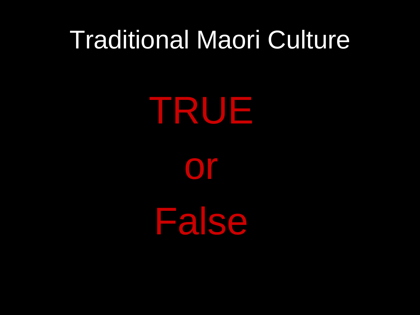TRUE

or

False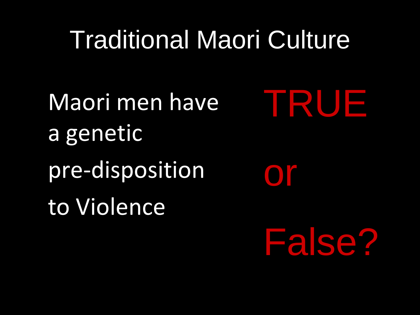Maori men have a genetic pre-disposition to Violence

TRUE

False?

**or**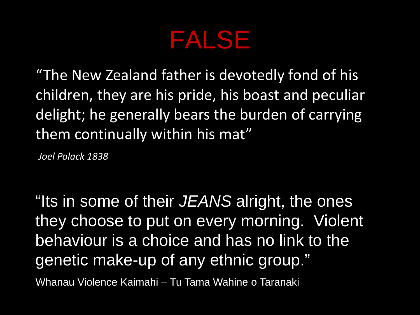#### FALSE

"The New Zealand father is devotedly fond of his children, they are his pride, his boast and peculiar delight; he generally bears the burden of carrying them continually within his mat"

*Joel Polack 1838*

"Its in some of their *JEANS* alright, the ones they choose to put on every morning. Violent behaviour is a choice and has no link to the genetic make-up of any ethnic group."

Whanau Violence Kaimahi – Tu Tama Wahine o Taranaki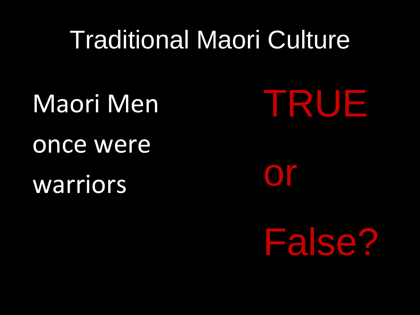Maori Men

once were warriors

TRUE

Or

False?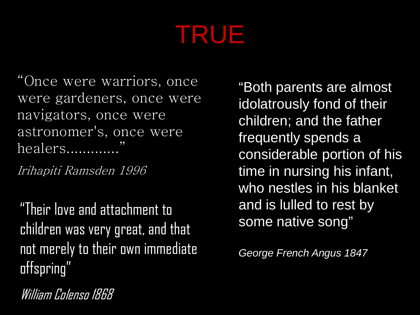### TRUE

"Once were warriors, once were gardeners, once were navigators, once were astronomer's, once were healers.............

Irihapiti Ramsden 1996

"Their love and attachment to children was very great, and that not merely to their own immediate offspring"

"Both parents are almost idolatrously fond of their children; and the father frequently spends a considerable portion of his time in nursing his infant, who nestles in his blanket and is lulled to rest by some native song"

*George French Angus 1847*

William Colenso 1868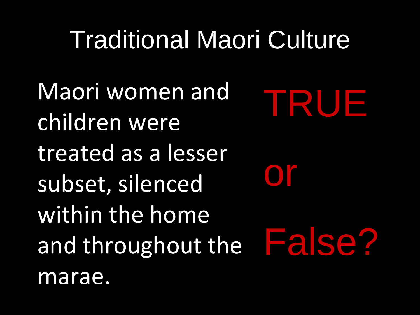Maori women and children were treated as a lesser subset, silenced within the home and throughout the marae. TRUE or False?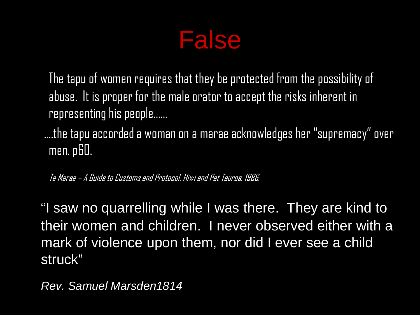

 The tapu of women requires that they be protected from the possibility of abuse. It is proper for the male orator to accept the risks inherent in representing his people……

 ….the tapu accorded a woman on a marae acknowledges her "supremacy" over men. p60.

Te Marae – A Guide to Customs and Protocol. Hiwi and Pat Tauroa. 1986.

"I saw no quarrelling while I was there. They are kind to their women and children. I never observed either with a mark of violence upon them, nor did I ever see a child struck"

*Rev. Samuel Marsden1814*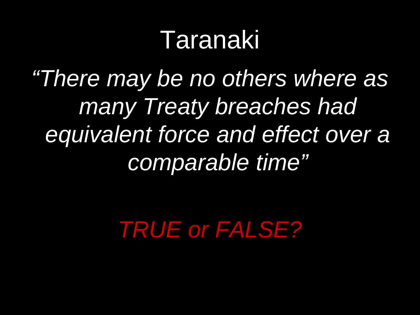#### Taranaki

*"There may be no others where as many Treaty breaches had equivalent force and effect over a comparable time"*

*TRUE or FALSE?*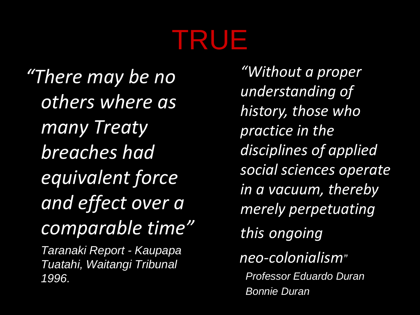## TRUE

*"There may be no others where as many Treaty breaches had equivalent force and effect over a comparable time" Taranaki Report - Kaupapa Tuatahi, Waitangi Tribunal 1996.*

*"Without a proper understanding of history, those who practice in the disciplines of applied social sciences operate in a vacuum, thereby merely perpetuating this ongoing neo-colonialism" Professor Eduardo Duran Bonnie Duran*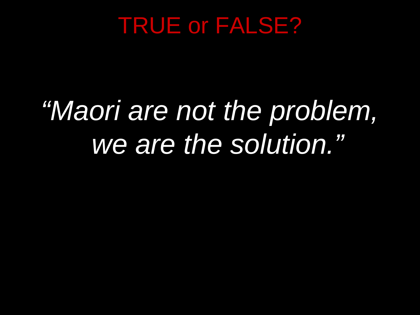#### TRUE or FALSE?

# *"Maori are not the problem, we are the solution."*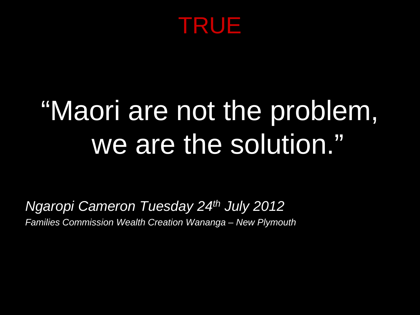

# "Maori are not the problem, we are the solution."

*Ngaropi Cameron Tuesday 24th July 2012 Families Commission Wealth Creation Wananga – New Plymouth*